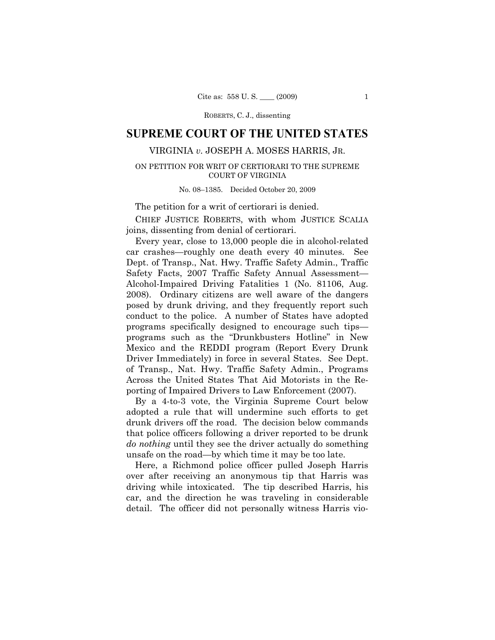ROBERTS, C. J., dissenting

# **SUPREME COURT OF THE UNITED STATES**

# VIRGINIA *v.* JOSEPH A. MOSES HARRIS, JR.

# ON PETITION FOR WRIT OF CERTIORARI TO THE SUPREME COURT OF VIRGINIA

No. 08–1385. Decided October 20, 2009

The petition for a writ of certiorari is denied.

CHIEF JUSTICE ROBERTS, with whom JUSTICE SCALIA joins, dissenting from denial of certiorari.

Every year, close to 13,000 people die in alcohol-related car crashes—roughly one death every 40 minutes. See Dept. of Transp., Nat. Hwy. Traffic Safety Admin., Traffic Safety Facts, 2007 Traffic Safety Annual Assessment*—*  Alcohol-Impaired Driving Fatalities 1 (No. 81106, Aug. 2008). Ordinary citizens are well aware of the dangers posed by drunk driving, and they frequently report such conduct to the police. A number of States have adopted programs specifically designed to encourage such tips programs such as the "Drunkbusters Hotline" in New Mexico and the REDDI program (Report Every Drunk Driver Immediately) in force in several States. See Dept. of Transp., Nat. Hwy. Traffic Safety Admin., Programs Across the United States That Aid Motorists in the Reporting of Impaired Drivers to Law Enforcement (2007).

By a 4-to-3 vote, the Virginia Supreme Court below adopted a rule that will undermine such efforts to get drunk drivers off the road. The decision below commands that police officers following a driver reported to be drunk *do nothing* until they see the driver actually do something unsafe on the road—by which time it may be too late.

Here, a Richmond police officer pulled Joseph Harris over after receiving an anonymous tip that Harris was driving while intoxicated. The tip described Harris, his car, and the direction he was traveling in considerable detail. The officer did not personally witness Harris vio-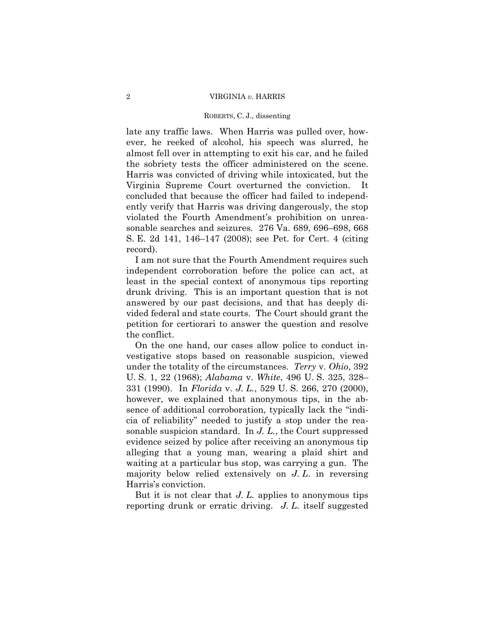#### 2 VIRGINIA *v.* HARRIS

#### ROBERTS, C. J., dissenting

late any traffic laws. When Harris was pulled over, however, he reeked of alcohol, his speech was slurred, he almost fell over in attempting to exit his car, and he failed the sobriety tests the officer administered on the scene. Harris was convicted of driving while intoxicated, but the Virginia Supreme Court overturned the conviction. It concluded that because the officer had failed to independently verify that Harris was driving dangerously, the stop violated the Fourth Amendment's prohibition on unreasonable searches and seizures. 276 Va. 689, 696–698, 668 S. E. 2d 141, 146–147 (2008); see Pet. for Cert. 4 (citing record).

I am not sure that the Fourth Amendment requires such independent corroboration before the police can act, at least in the special context of anonymous tips reporting drunk driving. This is an important question that is not answered by our past decisions, and that has deeply divided federal and state courts. The Court should grant the petition for certiorari to answer the question and resolve the conflict.

On the one hand, our cases allow police to conduct investigative stops based on reasonable suspicion, viewed under the totality of the circumstances. *Terry* v. *Ohio*, 392 U. S. 1, 22 (1968); *Alabama* v. *White*, 496 U. S. 325, 328– 331 (1990). In *Florida* v. *J. L.*, 529 U. S. 266, 270 (2000), however, we explained that anonymous tips, in the absence of additional corroboration, typically lack the "indicia of reliability" needed to justify a stop under the reasonable suspicion standard. In *J. L.*, the Court suppressed evidence seized by police after receiving an anonymous tip alleging that a young man, wearing a plaid shirt and waiting at a particular bus stop, was carrying a gun. The majority below relied extensively on *J. L*. in reversing Harris's conviction.

But it is not clear that *J. L.* applies to anonymous tips reporting drunk or erratic driving. *J. L.* itself suggested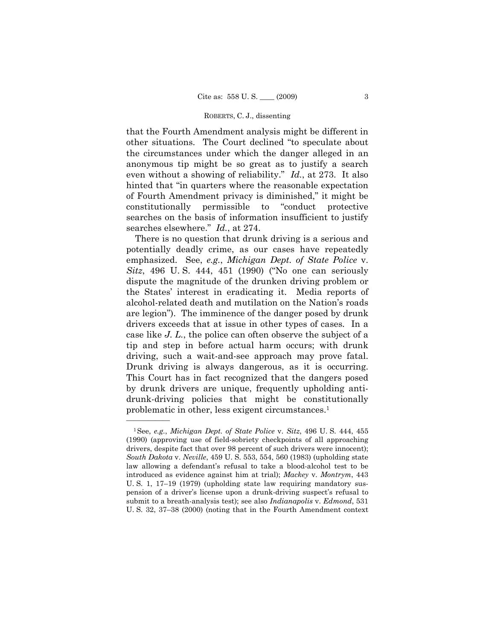#### ROBERTS, C. J., dissenting

that the Fourth Amendment analysis might be different in other situations. The Court declined "to speculate about the circumstances under which the danger alleged in an anonymous tip might be so great as to justify a search even without a showing of reliability." *Id.*, at 273. It also hinted that "in quarters where the reasonable expectation of Fourth Amendment privacy is diminished," it might be constitutionally permissible to "conduct protective searches on the basis of information insufficient to justify searches elsewhere." *Id.*, at 274.

There is no question that drunk driving is a serious and potentially deadly crime, as our cases have repeatedly emphasized. See, *e.g.*, *Michigan Dept. of State Police* v. *Sitz*, 496 U. S. 444, 451 (1990) ("No one can seriously dispute the magnitude of the drunken driving problem or the States' interest in eradicating it. Media reports of alcohol-related death and mutilation on the Nation's roads are legion"). The imminence of the danger posed by drunk drivers exceeds that at issue in other types of cases*.* In a case like *J. L.*, the police can often observe the subject of a tip and step in before actual harm occurs; with drunk driving, such a wait-and-see approach may prove fatal. Drunk driving is always dangerous, as it is occurring. This Court has in fact recognized that the dangers posed by drunk drivers are unique, frequently upholding antidrunk-driving policies that might be constitutionally problematic in other, less exigent circumstances.1

——————

<sup>1</sup>See, *e.g.*, *Michigan Dept. of State Police* v. *Sitz*, 496 U. S. 444, 455 (1990) (approving use of field-sobriety checkpoints of all approaching drivers, despite fact that over 98 percent of such drivers were innocent); *South Dakota* v. *Neville*, 459 U. S. 553, 554, 560 (1983) (upholding state law allowing a defendant's refusal to take a blood-alcohol test to be introduced as evidence against him at trial); *Mackey* v. *Montrym*, 443 U. S. 1, 17–19 (1979) (upholding state law requiring mandatory suspension of a driver's license upon a drunk-driving suspect's refusal to submit to a breath-analysis test); see also *Indianapolis* v. *Edmond*, 531 U. S. 32, 37–38 (2000) (noting that in the Fourth Amendment context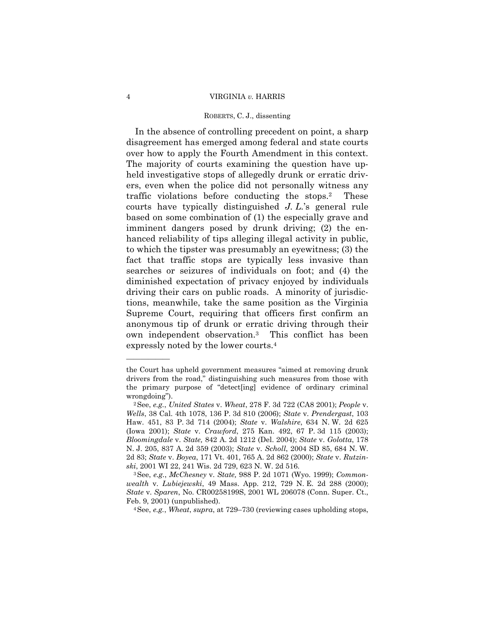## 4 VIRGINIA *v.* HARRIS

#### ROBERTS, C. J., dissenting

In the absence of controlling precedent on point, a sharp disagreement has emerged among federal and state courts over how to apply the Fourth Amendment in this context. The majority of courts examining the question have upheld investigative stops of allegedly drunk or erratic drivers, even when the police did not personally witness any traffic violations before conducting the stops.2 These courts have typically distinguished *J. L.*'s general rule based on some combination of (1) the especially grave and imminent dangers posed by drunk driving; (2) the enhanced reliability of tips alleging illegal activity in public, to which the tipster was presumably an eyewitness; (3) the fact that traffic stops are typically less invasive than searches or seizures of individuals on foot; and (4) the diminished expectation of privacy enjoyed by individuals driving their cars on public roads. A minority of jurisdictions, meanwhile, take the same position as the Virginia Supreme Court, requiring that officers first confirm an anonymous tip of drunk or erratic driving through their own independent observation.3 This conflict has been expressly noted by the lower courts.4

——————

the Court has upheld government measures "aimed at removing drunk drivers from the road," distinguishing such measures from those with the primary purpose of "detect[ing] evidence of ordinary criminal wrongdoing"). 2See, *e.g.*, *United States* v. *Wheat*, 278 F. 3d 722 (CA8 2001); *People* v.

*Wells*, 38 Cal. 4th 1078, 136 P. 3d 810 (2006); *State* v. *Prendergast*, 103 Haw. 451, 83 P. 3d 714 (2004); *State* v. *Walshire*, 634 N. W. 2d 625 (Iowa 2001); *State* v. *Crawford*, 275 Kan. 492, 67 P. 3d 115 (2003); *Bloomingdale* v. *State,* 842 A. 2d 1212 (Del. 2004); *State* v. *Golotta*, 178 N. J. 205, 837 A. 2d 359 (2003); *State* v. *Scholl*, 2004 SD 85, 684 N. W. 2d 83; *State* v. *Boyea*, 171 Vt. 401, 765 A. 2d 862 (2000); *State* v. *Rutzin-*

*ski*, 2001 WI 22, 241 Wis. 2d 729, 623 N. W. 2d 516. 3See, *e.g.*, *McChesney* v. *State,* 988 P. 2d 1071 (Wyo. 1999); *Commonwealth* v. *Lubiejewski*, 49 Mass. App. 212, 729 N. E. 2d 288 (2000); *State* v. *Sparen*, No. CR00258199S, 2001 WL 206078 (Conn. Super. Ct., Feb. 9, 2001) (unpublished). 4See, *e.g.*, *Wheat*, *supra*, at 729–730 (reviewing cases upholding stops,